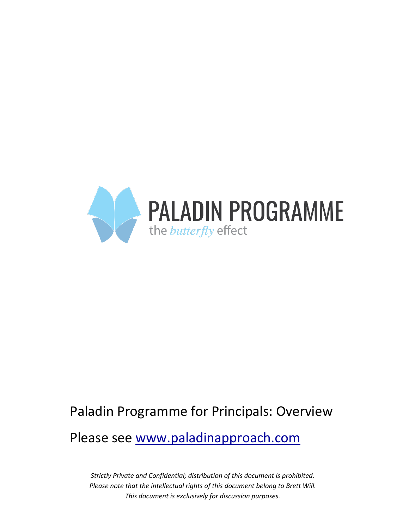

# Paladin Programme for Principals: Overview

Please see www.paladinapproach.com

*Strictly Private and Confidential; distribution of this document is prohibited. Please note that the intellectual rights of this document belong to Brett Will. This document is exclusively for discussion purposes.*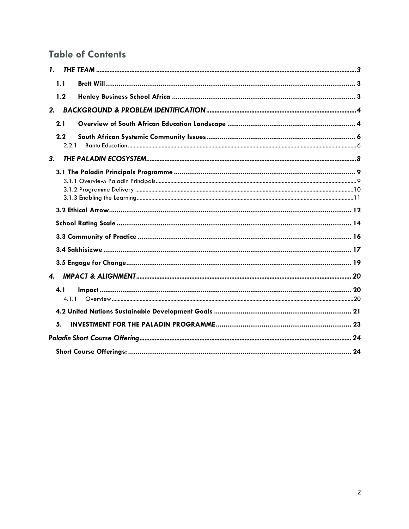## **Table of Contents**

| $\mathbf{I}$ .     |  |
|--------------------|--|
| 1.1                |  |
| 1.2                |  |
| 2.                 |  |
| 2.1                |  |
| 2.2<br>2.2.1       |  |
| 3.                 |  |
|                    |  |
|                    |  |
|                    |  |
|                    |  |
|                    |  |
|                    |  |
| $\boldsymbol{4}$ . |  |
| 4.1<br>4.1.1       |  |
|                    |  |
| 5.                 |  |
|                    |  |
|                    |  |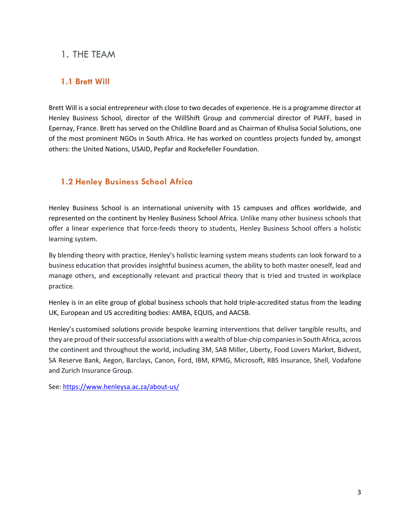## 1. THE TEAM

## **1.1 Brett Will**

Brett Will is a social entrepreneur with close to two decades of experience. He is a programme director at Henley Business School, director of the WillShift Group and commercial director of PIAFF, based in Epernay, France. Brett has served on the Childline Board and as Chairman of Khulisa Social Solutions, one of the most prominent NGOs in South Africa. He has worked on countless projects funded by, amongst others: the United Nations, USAID, Pepfar and Rockefeller Foundation.

## **1.2 Henley Business School Africa**

Henley Business School is an international university with 15 campuses and offices worldwide, and represented on the continent by Henley Business School Africa. Unlike many other business schools that offer a linear experience that force-feeds theory to students, Henley Business School offers a holistic learning system.

By blending theory with practice, Henley's holistic learning system means students can look forward to a business education that provides insightful business acumen, the ability to both master oneself, lead and manage others, and exceptionally relevant and practical theory that is tried and trusted in workplace practice.

Henley is in an elite group of global business schools that hold triple-accredited status from the leading UK, European and US accrediting bodies: AMBA, EQUIS, and AACSB.

Henley's customised solutions provide bespoke learning interventions that deliver tangible results, and they are proud of their successful associations with a wealth of blue-chip companies in South Africa, across the continent and throughout the world, including 3M, SAB Miller, Liberty, Food Lovers Market, Bidvest, SA Reserve Bank, Aegon, Barclays, Canon, Ford, IBM, KPMG, Microsoft, RBS Insurance, Shell, Vodafone and Zurich Insurance Group.

See: https://www.henleysa.ac.za/about-us/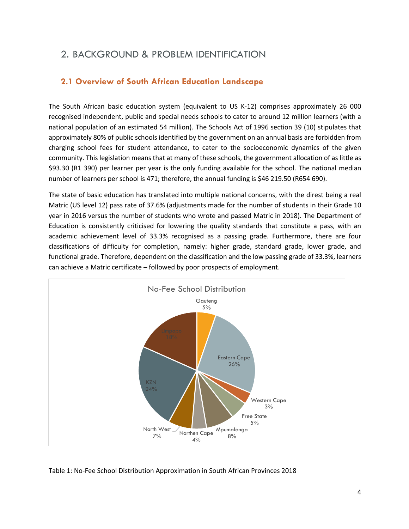## 2. BACKGROUND & PROBLEM IDENTIFICATION

## **2.1 Overview of South African Education Landscape**

The South African basic education system (equivalent to US K-12) comprises approximately 26 000 recognised independent, public and special needs schools to cater to around 12 million learners (with a national population of an estimated 54 million). The Schools Act of 1996 section 39 (10) stipulates that approximately 80% of public schools identified by the government on an annual basis are forbidden from charging school fees for student attendance, to cater to the socioeconomic dynamics of the given community. This legislation means that at many of these schools, the government allocation of as little as \$93.30 (R1 390) per learner per year is the only funding available for the school. The national median number of learners per school is 471; therefore, the annual funding is \$46 219.50 (R654 690).

The state of basic education has translated into multiple national concerns, with the direst being a real Matric (US level 12) pass rate of 37.6% (adjustments made for the number of students in their Grade 10 year in 2016 versus the number of students who wrote and passed Matric in 2018). The Department of Education is consistently criticised for lowering the quality standards that constitute a pass, with an academic achievement level of 33.3% recognised as a passing grade. Furthermore, there are four classifications of difficulty for completion, namely: higher grade, standard grade, lower grade, and functional grade. Therefore, dependent on the classification and the low passing grade of 33.3%, learners can achieve a Matric certificate – followed by poor prospects of employment.



#### Table 1: No-Fee School Distribution Approximation in South African Provinces 2018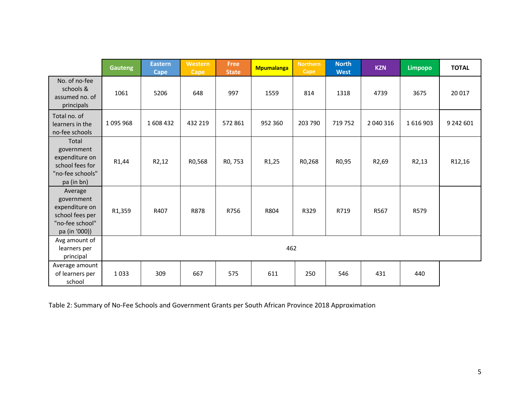|                                                                                                | <b>Gauteng</b>     | <b>Eastern</b><br><b>Cape</b> | Western<br><b>Cape</b> | Free<br><b>State</b> | <b>Mpumalanga</b>  | <b>Northern</b><br>Cape | <b>North</b><br><b>West</b> | <b>KZN</b>         | Limpopo | <b>TOTAL</b> |
|------------------------------------------------------------------------------------------------|--------------------|-------------------------------|------------------------|----------------------|--------------------|-------------------------|-----------------------------|--------------------|---------|--------------|
| No. of no-fee<br>schools &<br>assumed no. of<br>principals                                     | 1061               | 5206                          | 648                    | 997                  | 1559               | 814                     | 1318                        | 4739               | 3675    | 20 017       |
| Total no. of<br>learners in the<br>no-fee schools                                              | 1095968            | 1608432                       | 432 219                | 572 861              | 952 360            | 203 790                 | 719 752                     | 2 040 316          | 1616903 | 9 242 601    |
| Total<br>government<br>expenditure on<br>school fees for<br>"no-fee schools"<br>pa (in bn)     | R <sub>1</sub> ,44 | R <sub>2</sub> ,12            | R0,568                 | R <sub>0</sub> , 753 | R <sub>1</sub> ,25 | R0,268                  | R0,95                       | R <sub>2</sub> ,69 | R2,13   | R12,16       |
| Average<br>government<br>expenditure on<br>school fees per<br>"no-fee school"<br>pa (in '000)) | R1,359             | R407                          | R878                   | R756                 | R804               | R329                    | R719                        | R567               | R579    |              |
| Avg amount of<br>learners per<br>principal                                                     | 462                |                               |                        |                      |                    |                         |                             |                    |         |              |
| Average amount<br>of learners per<br>school                                                    | 1033               | 309                           | 667                    | 575                  | 611                | 250                     | 546                         | 431                | 440     |              |

Table 2: Summary of No-Fee Schools and Government Grants per South African Province 2018 Approximation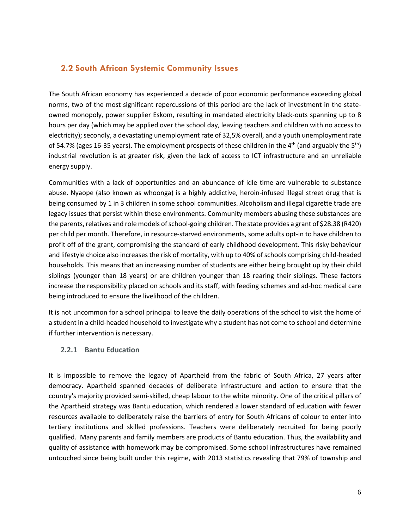### **2.2 South African Systemic Community Issues**

The South African economy has experienced a decade of poor economic performance exceeding global norms, two of the most significant repercussions of this period are the lack of investment in the stateowned monopoly, power supplier Eskom, resulting in mandated electricity black-outs spanning up to 8 hours per day (which may be applied over the school day, leaving teachers and children with no access to electricity); secondly, a devastating unemployment rate of 32,5% overall, and a youth unemployment rate of 54.7% (ages 16-35 years). The employment prospects of these children in the 4<sup>th</sup> (and arguably the 5<sup>th</sup>) industrial revolution is at greater risk, given the lack of access to ICT infrastructure and an unreliable energy supply.

Communities with a lack of opportunities and an abundance of idle time are vulnerable to substance abuse. Nyaope (also known as whoonga) is a highly addictive, heroin-infused illegal street drug that is being consumed by 1 in 3 children in some school communities. Alcoholism and illegal cigarette trade are legacy issues that persist within these environments. Community members abusing these substances are the parents, relatives and role models of school-going children. The state provides a grant of \$28.38 (R420) per child per month. Therefore, in resource-starved environments, some adults opt-in to have children to profit off of the grant, compromising the standard of early childhood development. This risky behaviour and lifestyle choice also increases the risk of mortality, with up to 40% of schools comprising child-headed households. This means that an increasing number of students are either being brought up by their child siblings (younger than 18 years) or are children younger than 18 rearing their siblings. These factors increase the responsibility placed on schools and its staff, with feeding schemes and ad-hoc medical care being introduced to ensure the livelihood of the children.

It is not uncommon for a school principal to leave the daily operations of the school to visit the home of a student in a child-headed household to investigate why a student has not come to school and determine if further intervention is necessary.

#### **2.2.1 Bantu Education**

It is impossible to remove the legacy of Apartheid from the fabric of South Africa, 27 years after democracy. Apartheid spanned decades of deliberate infrastructure and action to ensure that the country's majority provided semi-skilled, cheap labour to the white minority. One of the critical pillars of the Apartheid strategy was Bantu education, which rendered a lower standard of education with fewer resources available to deliberately raise the barriers of entry for South Africans of colour to enter into tertiary institutions and skilled professions. Teachers were deliberately recruited for being poorly qualified. Many parents and family members are products of Bantu education. Thus, the availability and quality of assistance with homework may be compromised. Some school infrastructures have remained untouched since being built under this regime, with 2013 statistics revealing that 79% of township and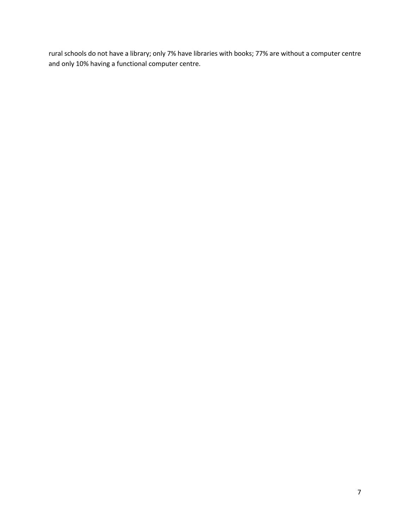rural schools do not have a library; only 7% have libraries with books; 77% are without a computer centre and only 10% having a functional computer centre.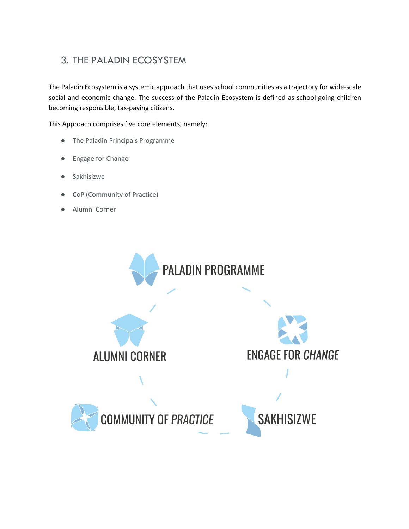## 3. THE PALADIN ECOSYSTEM

The Paladin Ecosystem is a systemic approach that uses school communities as a trajectory for wide-scale social and economic change. The success of the Paladin Ecosystem is defined as school-going children becoming responsible, tax-paying citizens.

This Approach comprises five core elements, namely:

- The Paladin Principals Programme
- Engage for Change
- Sakhisizwe
- CoP (Community of Practice)
- Alumni Corner

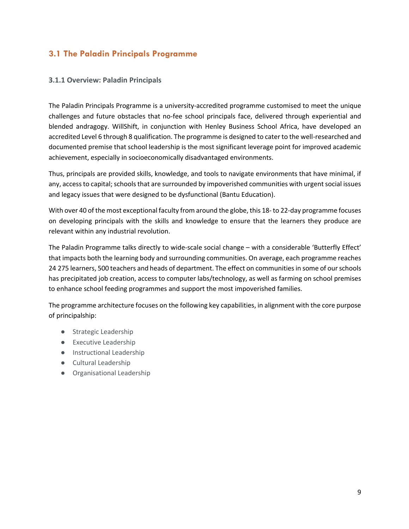## **3.1 The Paladin Principals Programme**

#### **3.1.1 Overview: Paladin Principals**

The Paladin Principals Programme is a university-accredited programme customised to meet the unique challenges and future obstacles that no-fee school principals face, delivered through experiential and blended andragogy. WillShift, in conjunction with Henley Business School Africa, have developed an accredited Level 6 through 8 qualification. The programme is designed to cater to the well-researched and documented premise that school leadership is the most significant leverage point for improved academic achievement, especially in socioeconomically disadvantaged environments.

Thus, principals are provided skills, knowledge, and tools to navigate environments that have minimal, if any, access to capital; schools that are surrounded by impoverished communities with urgent social issues and legacy issues that were designed to be dysfunctional (Bantu Education).

With over 40 of the most exceptional faculty from around the globe, this 18- to 22-day programme focuses on developing principals with the skills and knowledge to ensure that the learners they produce are relevant within any industrial revolution.

The Paladin Programme talks directly to wide-scale social change – with a considerable 'Butterfly Effect' that impacts both the learning body and surrounding communities. On average, each programme reaches 24 275 learners, 500 teachers and heads of department. The effect on communities in some of our schools has precipitated job creation, access to computer labs/technology, as well as farming on school premises to enhance school feeding programmes and support the most impoverished families.

The programme architecture focuses on the following key capabilities, in alignment with the core purpose of principalship:

- Strategic Leadership
- Executive Leadership
- Instructional Leadership
- Cultural Leadership
- Organisational Leadership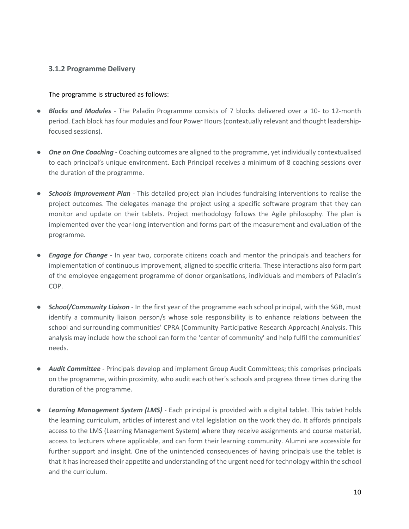#### **3.1.2 Programme Delivery**

#### The programme is structured as follows:

- *Blocks and Modules -* The Paladin Programme consists of 7 blocks delivered over a 10- to 12-month period. Each block has four modules and four Power Hours (contextually relevant and thought leadershipfocused sessions).
- **One on One Coaching** Coaching outcomes are aligned to the programme, yet individually contextualised to each principal's unique environment. Each Principal receives a minimum of 8 coaching sessions over the duration of the programme.
- *Schools Improvement Plan -* This detailed project plan includes fundraising interventions to realise the project outcomes. The delegates manage the project using a specific software program that they can monitor and update on their tablets. Project methodology follows the Agile philosophy. The plan is implemented over the year-long intervention and forms part of the measurement and evaluation of the programme.
- *Engage for Change -* In year two, corporate citizens coach and mentor the principals and teachers for implementation of continuous improvement, aligned to specific criteria. These interactions also form part of the employee engagement programme of donor organisations, individuals and members of Paladin's COP.
- *School/Community Liaison -* In the first year of the programme each school principal, with the SGB, must identify a community liaison person/s whose sole responsibility is to enhance relations between the school and surrounding communities' CPRA (Community Participative Research Approach) Analysis. This analysis may include how the school can form the 'center of community' and help fulfil the communities' needs.
- *Audit Committee* Principals develop and implement Group Audit Committees; this comprises principals on the programme, within proximity, who audit each other's schools and progress three times during the duration of the programme.
- *Learning Management System (LMS)* Each principal is provided with a digital tablet. This tablet holds the learning curriculum, articles of interest and vital legislation on the work they do. It affords principals access to the LMS (Learning Management System) where they receive assignments and course material, access to lecturers where applicable, and can form their learning community. Alumni are accessible for further support and insight. One of the unintended consequences of having principals use the tablet is that it has increased their appetite and understanding of the urgent need for technology within the school and the curriculum.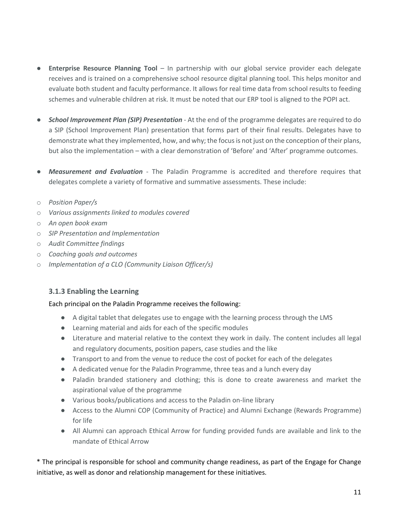- **Enterprise Resource Planning Tool** In partnership with our global service provider each delegate receives and is trained on a comprehensive school resource digital planning tool. This helps monitor and evaluate both student and faculty performance. It allows for real time data from school results to feeding schemes and vulnerable children at risk. It must be noted that our ERP tool is aligned to the POPI act.
- *School Improvement Plan (SIP) Presentation* At the end of the programme delegates are required to do a SIP (School Improvement Plan) presentation that forms part of their final results. Delegates have to demonstrate what they implemented, how, and why; the focus is not just on the conception of their plans, but also the implementation – with a clear demonstration of 'Before' and 'After' programme outcomes.
- *Measurement and Evaluation* The Paladin Programme is accredited and therefore requires that delegates complete a variety of formative and summative assessments. These include:
- o *Position Paper/s*
- o *Various assignments linked to modules covered*
- o *An open book exam*
- o *SIP Presentation and Implementation*
- o *Audit Committee findings*
- o *Coaching goals and outcomes*
- o *Implementation of a CLO (Community Liaison Officer/s)*

#### **3.1.3 Enabling the Learning**

#### Each principal on the Paladin Programme receives the following:

- A digital tablet that delegates use to engage with the learning process through the LMS
- Learning material and aids for each of the specific modules
- Literature and material relative to the context they work in daily. The content includes all legal and regulatory documents, position papers, case studies and the like
- Transport to and from the venue to reduce the cost of pocket for each of the delegates
- A dedicated venue for the Paladin Programme, three teas and a lunch every day
- Paladin branded stationery and clothing; this is done to create awareness and market the aspirational value of the programme
- Various books/publications and access to the Paladin on-line library
- Access to the Alumni COP (Community of Practice) and Alumni Exchange (Rewards Programme) for life
- All Alumni can approach Ethical Arrow for funding provided funds are available and link to the mandate of Ethical Arrow

\* The principal is responsible for school and community change readiness, as part of the Engage for Change initiative, as well as donor and relationship management for these initiatives.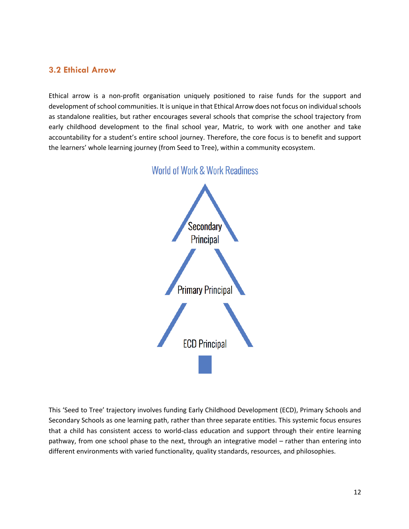#### **3.2 Ethical Arrow**

Ethical arrow is a non-profit organisation uniquely positioned to raise funds for the support and development of school communities. It is unique in that Ethical Arrow does not focus on individual schools as standalone realities, but rather encourages several schools that comprise the school trajectory from early childhood development to the final school year, Matric, to work with one another and take accountability for a student's entire school journey. Therefore, the core focus is to benefit and support the learners' whole learning journey (from Seed to Tree), within a community ecosystem.



## **World of Work & Work Readiness**

This 'Seed to Tree' trajectory involves funding Early Childhood Development (ECD), Primary Schools and Secondary Schools as one learning path, rather than three separate entities. This systemic focus ensures that a child has consistent access to world-class education and support through their entire learning pathway, from one school phase to the next, through an integrative model – rather than entering into different environments with varied functionality, quality standards, resources, and philosophies.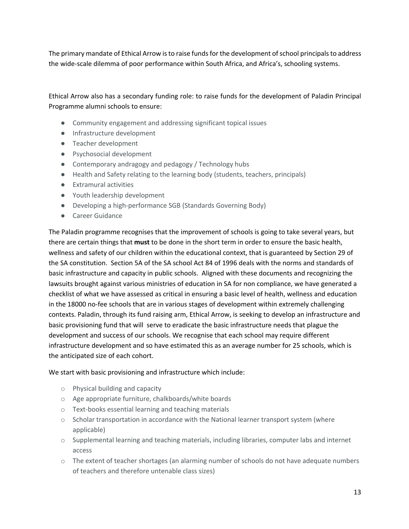The primary mandate of Ethical Arrow is to raise funds for the development of school principals to address the wide-scale dilemma of poor performance within South Africa, and Africa's, schooling systems.

Ethical Arrow also has a secondary funding role: to raise funds for the development of Paladin Principal Programme alumni schools to ensure:

- Community engagement and addressing significant topical issues
- Infrastructure development
- Teacher development
- Psychosocial development
- Contemporary andragogy and pedagogy / Technology hubs
- Health and Safety relating to the learning body (students, teachers, principals)
- Extramural activities
- Youth leadership development
- Developing a high-performance SGB (Standards Governing Body)
- Career Guidance

The Paladin programme recognises that the improvement of schools is going to take several years, but there are certain things that **must** to be done in the short term in order to ensure the basic health, wellness and safety of our children within the educational context, that is guaranteed by Section 29 of the SA constitution. Section 5A of the SA school Act 84 of 1996 deals with the norms and standards of basic infrastructure and capacity in public schools. Aligned with these documents and recognizing the lawsuits brought against various ministries of education in SA for non compliance, we have generated a checklist of what we have assessed as critical in ensuring a basic level of health, wellness and education in the 18000 no-fee schools that are in various stages of development within extremely challenging contexts. Paladin, through its fund raising arm, Ethical Arrow, is seeking to develop an infrastructure and basic provisioning fund that will serve to eradicate the basic infrastructure needs that plague the development and success of our schools. We recognise that each school may require different infrastructure development and so have estimated this as an average number for 25 schools, which is the anticipated size of each cohort.

We start with basic provisioning and infrastructure which include:

- o Physical building and capacity
- o Age appropriate furniture, chalkboards/white boards
- o Text-books essential learning and teaching materials
- $\circ$  Scholar transportation in accordance with the National learner transport system (where applicable)
- o Supplemental learning and teaching materials, including libraries, computer labs and internet access
- $\circ$  The extent of teacher shortages (an alarming number of schools do not have adequate numbers of teachers and therefore untenable class sizes)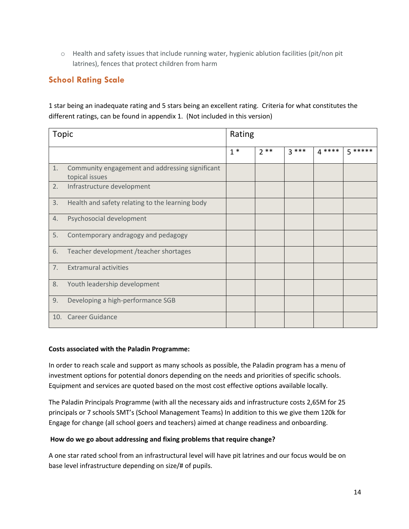o Health and safety issues that include running water, hygienic ablution facilities (pit/non pit latrines), fences that protect children from harm

## **School Rating Scale**

1 star being an inadequate rating and 5 stars being an excellent rating. Criteria for what constitutes the different ratings, can be found in appendix 1. (Not included in this version)

| Topic |                                                                   | Rating |       |        |        |         |
|-------|-------------------------------------------------------------------|--------|-------|--------|--------|---------|
|       |                                                                   | $1*$   | $2**$ | $3***$ | $4***$ | 5 ***** |
| 1.    | Community engagement and addressing significant<br>topical issues |        |       |        |        |         |
| 2.    | Infrastructure development                                        |        |       |        |        |         |
| 3.    | Health and safety relating to the learning body                   |        |       |        |        |         |
| 4.    | Psychosocial development                                          |        |       |        |        |         |
| 5.    | Contemporary andragogy and pedagogy                               |        |       |        |        |         |
| 6.    | Teacher development / teacher shortages                           |        |       |        |        |         |
| 7.    | <b>Extramural activities</b>                                      |        |       |        |        |         |
| 8.    | Youth leadership development                                      |        |       |        |        |         |
| 9.    | Developing a high-performance SGB                                 |        |       |        |        |         |
| 10.   | <b>Career Guidance</b>                                            |        |       |        |        |         |

#### **Costs associated with the Paladin Programme:**

In order to reach scale and support as many schools as possible, the Paladin program has a menu of investment options for potential donors depending on the needs and priorities of specific schools. Equipment and services are quoted based on the most cost effective options available locally.

The Paladin Principals Programme (with all the necessary aids and infrastructure costs 2,65M for 25 principals or 7 schools SMT's (School Management Teams) In addition to this we give them 120k for Engage for change (all school goers and teachers) aimed at change readiness and onboarding.

#### **How do we go about addressing and fixing problems that require change?**

A one star rated school from an infrastructural level will have pit latrines and our focus would be on base level infrastructure depending on size/# of pupils.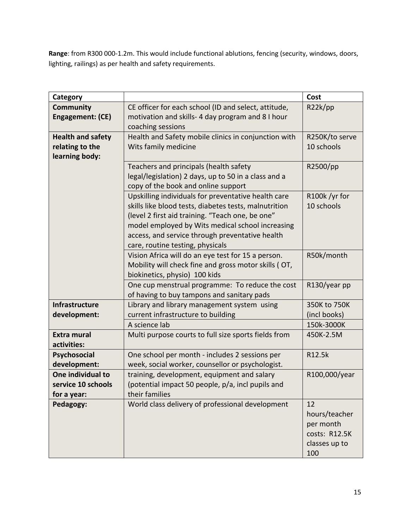**Range**: from R300 000-1.2m. This would include functional ablutions, fencing (security, windows, doors, lighting, railings) as per health and safety requirements.

| Category                 |                                                                                               | Cost           |
|--------------------------|-----------------------------------------------------------------------------------------------|----------------|
| <b>Community</b>         | CE officer for each school (ID and select, attitude,                                          | R22k(pp        |
| Engagement: (CE)         | motivation and skills- 4 day program and 8 I hour                                             |                |
|                          | coaching sessions                                                                             |                |
| <b>Health and safety</b> | Health and Safety mobile clinics in conjunction with                                          | R250K/to serve |
| relating to the          | Wits family medicine                                                                          | 10 schools     |
| learning body:           |                                                                                               |                |
|                          | Teachers and principals (health safety                                                        | R2500/pp       |
|                          | legal/legislation) 2 days, up to 50 in a class and a                                          |                |
|                          | copy of the book and online support                                                           |                |
|                          | Upskilling individuals for preventative health care                                           | R100k/yr for   |
|                          | skills like blood tests, diabetes tests, malnutrition                                         | 10 schools     |
|                          | (level 2 first aid training. "Teach one, be one"                                              |                |
|                          | model employed by Wits medical school increasing                                              |                |
|                          | access, and service through preventative health                                               |                |
|                          | care, routine testing, physicals                                                              |                |
|                          | Vision Africa will do an eye test for 15 a person.                                            | R50k/month     |
|                          | Mobility will check fine and gross motor skills (OT,                                          |                |
|                          | biokinetics, physio) 100 kids                                                                 |                |
|                          | One cup menstrual programme: To reduce the cost<br>of having to buy tampons and sanitary pads | R130/year pp   |
| <b>Infrastructure</b>    | Library and library management system using                                                   | 350K to 750K   |
| development:             | current infrastructure to building                                                            | (incl books)   |
|                          | A science lab                                                                                 | 150k-3000K     |
| <b>Extra mural</b>       | Multi purpose courts to full size sports fields from                                          | 450K-2.5M      |
| activities:              |                                                                                               |                |
| <b>Psychosocial</b>      | One school per month - includes 2 sessions per                                                | R12.5k         |
| development:             | week, social worker, counsellor or psychologist.                                              |                |
| One individual to        | training, development, equipment and salary                                                   | R100,000/year  |
| service 10 schools       | (potential impact 50 people, p/a, incl pupils and                                             |                |
| for a year:              | their families                                                                                |                |
| Pedagogy:                | World class delivery of professional development                                              | 12             |
|                          |                                                                                               | hours/teacher  |
|                          |                                                                                               | per month      |
|                          |                                                                                               | costs: R12.5K  |
|                          |                                                                                               | classes up to  |
|                          |                                                                                               | 100            |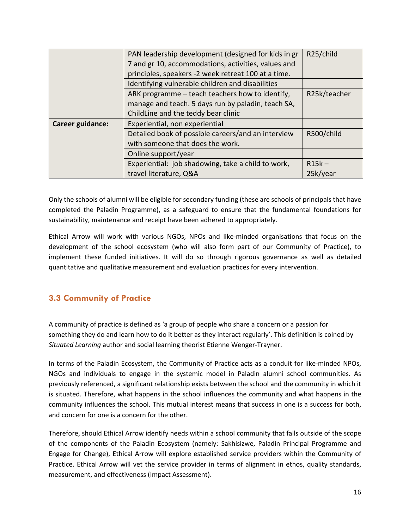|                  | PAN leadership development (designed for kids in gr | R25/child    |
|------------------|-----------------------------------------------------|--------------|
|                  | 7 and gr 10, accommodations, activities, values and |              |
|                  | principles, speakers -2 week retreat 100 at a time. |              |
|                  | Identifying vulnerable children and disabilities    |              |
|                  | ARK programme - teach teachers how to identify,     | R25k/teacher |
|                  | manage and teach. 5 days run by paladin, teach SA,  |              |
|                  | ChildLine and the teddy bear clinic                 |              |
| Career guidance: | Experiential, non experiential                      |              |
|                  | Detailed book of possible careers/and an interview  | R500/child   |
|                  | with someone that does the work.                    |              |
|                  | Online support/year                                 |              |
|                  | Experiential: job shadowing, take a child to work,  | $R15k -$     |
|                  | travel literature, Q&A                              | 25k/year     |

Only the schools of alumni will be eligible for secondary funding (these are schools of principals that have completed the Paladin Programme), as a safeguard to ensure that the fundamental foundations for sustainability, maintenance and receipt have been adhered to appropriately.

Ethical Arrow will work with various NGOs, NPOs and like-minded organisations that focus on the development of the school ecosystem (who will also form part of our Community of Practice), to implement these funded initiatives. It will do so through rigorous governance as well as detailed quantitative and qualitative measurement and evaluation practices for every intervention.

## **3.3 Community of Practice**

A community of practice is defined as 'a group of people who share a concern or a passion for something they do and learn how to do it better as they interact regularly'. This definition is coined by *Situated Learning* author and social learning theorist Etienne Wenger-Trayner.

In terms of the Paladin Ecosystem, the Community of Practice acts as a conduit for like-minded NPOs, NGOs and individuals to engage in the systemic model in Paladin alumni school communities. As previously referenced, a significant relationship exists between the school and the community in which it is situated. Therefore, what happens in the school influences the community and what happens in the community influences the school. This mutual interest means that success in one is a success for both, and concern for one is a concern for the other.

Therefore, should Ethical Arrow identify needs within a school community that falls outside of the scope of the components of the Paladin Ecosystem (namely: Sakhisizwe, Paladin Principal Programme and Engage for Change), Ethical Arrow will explore established service providers within the Community of Practice. Ethical Arrow will vet the service provider in terms of alignment in ethos, quality standards, measurement, and effectiveness (Impact Assessment).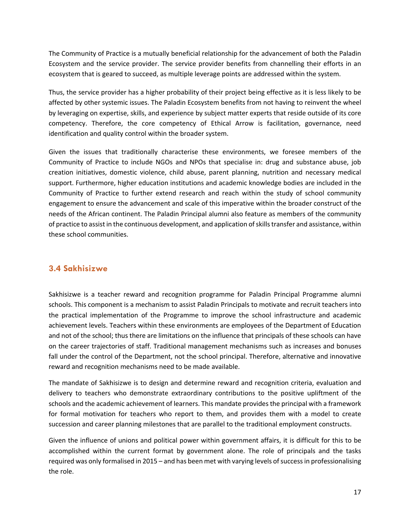The Community of Practice is a mutually beneficial relationship for the advancement of both the Paladin Ecosystem and the service provider. The service provider benefits from channelling their efforts in an ecosystem that is geared to succeed, as multiple leverage points are addressed within the system.

Thus, the service provider has a higher probability of their project being effective as it is less likely to be affected by other systemic issues. The Paladin Ecosystem benefits from not having to reinvent the wheel by leveraging on expertise, skills, and experience by subject matter experts that reside outside of its core competency. Therefore, the core competency of Ethical Arrow is facilitation, governance, need identification and quality control within the broader system.

Given the issues that traditionally characterise these environments, we foresee members of the Community of Practice to include NGOs and NPOs that specialise in: drug and substance abuse, job creation initiatives, domestic violence, child abuse, parent planning, nutrition and necessary medical support. Furthermore, higher education institutions and academic knowledge bodies are included in the Community of Practice to further extend research and reach within the study of school community engagement to ensure the advancement and scale of this imperative within the broader construct of the needs of the African continent. The Paladin Principal alumni also feature as members of the community of practice to assist in the continuous development, and application of skills transfer and assistance, within these school communities.

### **3.4 Sakhisizwe**

Sakhisizwe is a teacher reward and recognition programme for Paladin Principal Programme alumni schools. This component is a mechanism to assist Paladin Principals to motivate and recruit teachers into the practical implementation of the Programme to improve the school infrastructure and academic achievement levels. Teachers within these environments are employees of the Department of Education and not of the school; thus there are limitations on the influence that principals of these schools can have on the career trajectories of staff. Traditional management mechanisms such as increases and bonuses fall under the control of the Department, not the school principal. Therefore, alternative and innovative reward and recognition mechanisms need to be made available.

The mandate of Sakhisizwe is to design and determine reward and recognition criteria, evaluation and delivery to teachers who demonstrate extraordinary contributions to the positive upliftment of the schools and the academic achievement of learners. This mandate provides the principal with a framework for formal motivation for teachers who report to them, and provides them with a model to create succession and career planning milestones that are parallel to the traditional employment constructs.

Given the influence of unions and political power within government affairs, it is difficult for this to be accomplished within the current format by government alone. The role of principals and the tasks required was only formalised in 2015 – and has been met with varying levels of success in professionalising the role.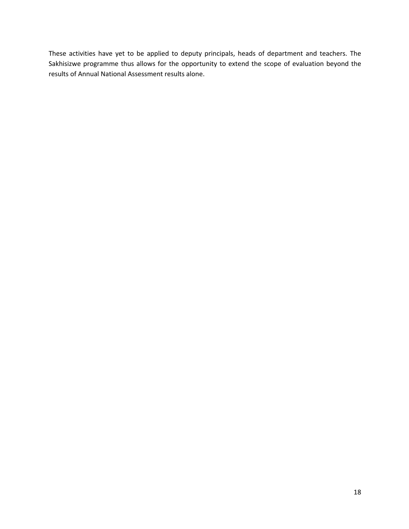These activities have yet to be applied to deputy principals, heads of department and teachers. The Sakhisizwe programme thus allows for the opportunity to extend the scope of evaluation beyond the results of Annual National Assessment results alone.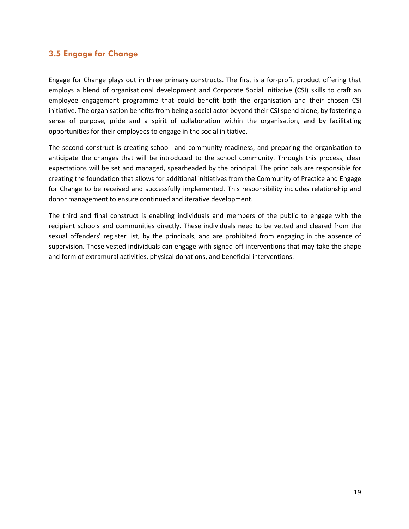#### **3.5 Engage for Change**

Engage for Change plays out in three primary constructs. The first is a for-profit product offering that employs a blend of organisational development and Corporate Social Initiative (CSI) skills to craft an employee engagement programme that could benefit both the organisation and their chosen CSI initiative. The organisation benefits from being a social actor beyond their CSI spend alone; by fostering a sense of purpose, pride and a spirit of collaboration within the organisation, and by facilitating opportunities for their employees to engage in the social initiative.

The second construct is creating school- and community-readiness, and preparing the organisation to anticipate the changes that will be introduced to the school community. Through this process, clear expectations will be set and managed, spearheaded by the principal. The principals are responsible for creating the foundation that allows for additional initiatives from the Community of Practice and Engage for Change to be received and successfully implemented. This responsibility includes relationship and donor management to ensure continued and iterative development.

The third and final construct is enabling individuals and members of the public to engage with the recipient schools and communities directly. These individuals need to be vetted and cleared from the sexual offenders' register list, by the principals, and are prohibited from engaging in the absence of supervision. These vested individuals can engage with signed-off interventions that may take the shape and form of extramural activities, physical donations, and beneficial interventions.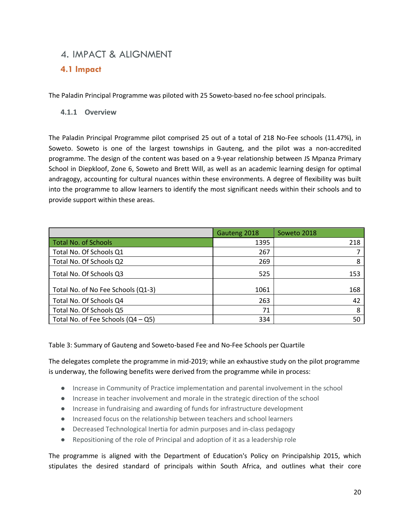## 4. IMPACT & ALIGNMENT

### **4.1 Impact**

The Paladin Principal Programme was piloted with 25 Soweto-based no-fee school principals.

#### **4.1.1 Overview**

The Paladin Principal Programme pilot comprised 25 out of a total of 218 No-Fee schools (11.47%), in Soweto. Soweto is one of the largest townships in Gauteng, and the pilot was a non-accredited programme. The design of the content was based on a 9-year relationship between JS Mpanza Primary School in Diepkloof, Zone 6, Soweto and Brett Will, as well as an academic learning design for optimal andragogy, accounting for cultural nuances within these environments. A degree of flexibility was built into the programme to allow learners to identify the most significant needs within their schools and to provide support within these areas.

|                                      | Gauteng 2018 | Soweto 2018 |
|--------------------------------------|--------------|-------------|
| <b>Total No. of Schools</b>          | 1395         | 218         |
| Total No. Of Schools Q1              | 267          |             |
| Total No. Of Schools Q2              | 269          | 8           |
| Total No. Of Schools Q3              | 525          | 153         |
| Total No. of No Fee Schools (Q1-3)   | 1061         | 168         |
| Total No. Of Schools Q4              | 263          | 42          |
| Total No. Of Schools Q5              | 71           | 8           |
| Total No. of Fee Schools $(Q4 - Q5)$ | 334          | 50          |

Table 3: Summary of Gauteng and Soweto-based Fee and No-Fee Schools per Quartile

The delegates complete the programme in mid-2019; while an exhaustive study on the pilot programme is underway, the following benefits were derived from the programme while in process:

- Increase in Community of Practice implementation and parental involvement in the school
- Increase in teacher involvement and morale in the strategic direction of the school
- Increase in fundraising and awarding of funds for infrastructure development
- Increased focus on the relationship between teachers and school learners
- Decreased Technological Inertia for admin purposes and in-class pedagogy
- Repositioning of the role of Principal and adoption of it as a leadership role

The programme is aligned with the Department of Education's Policy on Principalship 2015, which stipulates the desired standard of principals within South Africa, and outlines what their core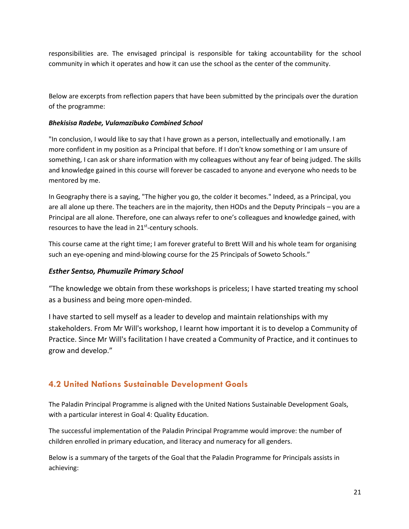responsibilities are. The envisaged principal is responsible for taking accountability for the school community in which it operates and how it can use the school as the center of the community.

Below are excerpts from reflection papers that have been submitted by the principals over the duration of the programme:

#### *Bhekisisa Radebe, Vulamazibuko Combined School*

"In conclusion, I would like to say that I have grown as a person, intellectually and emotionally. I am more confident in my position as a Principal that before. If I don't know something or I am unsure of something, I can ask or share information with my colleagues without any fear of being judged. The skills and knowledge gained in this course will forever be cascaded to anyone and everyone who needs to be mentored by me.

In Geography there is a saying, "The higher you go, the colder it becomes." Indeed, as a Principal, you are all alone up there. The teachers are in the majority, then HODs and the Deputy Principals – you are a Principal are all alone. Therefore, one can always refer to one's colleagues and knowledge gained, with resources to have the lead in 21<sup>st</sup>-century schools.

This course came at the right time; I am forever grateful to Brett Will and his whole team for organising such an eye-opening and mind-blowing course for the 25 Principals of Soweto Schools."

#### *Esther Sentso, Phumuzile Primary School*

"The knowledge we obtain from these workshops is priceless; I have started treating my school as a business and being more open-minded.

I have started to sell myself as a leader to develop and maintain relationships with my stakeholders. From Mr Will's workshop, I learnt how important it is to develop a Community of Practice. Since Mr Will's facilitation I have created a Community of Practice, and it continues to grow and develop."

## **4.2 United Nations Sustainable Development Goals**

The Paladin Principal Programme is aligned with the United Nations Sustainable Development Goals, with a particular interest in Goal 4: Quality Education.

The successful implementation of the Paladin Principal Programme would improve: the number of children enrolled in primary education, and literacy and numeracy for all genders.

Below is a summary of the targets of the Goal that the Paladin Programme for Principals assists in achieving: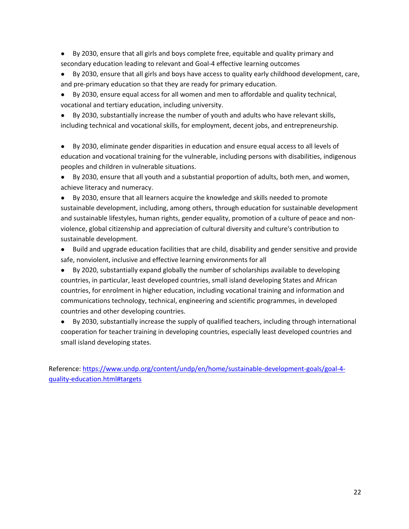- By 2030, ensure that all girls and boys complete free, equitable and quality primary and secondary education leading to relevant and Goal-4 effective learning outcomes
- By 2030, ensure that all girls and boys have access to quality early childhood development, care, and pre-primary education so that they are ready for primary education.
- By 2030, ensure equal access for all women and men to affordable and quality technical, vocational and tertiary education, including university.
- By 2030, substantially increase the number of youth and adults who have relevant skills, including technical and vocational skills, for employment, decent jobs, and entrepreneurship.

● By 2030, eliminate gender disparities in education and ensure equal access to all levels of education and vocational training for the vulnerable, including persons with disabilities, indigenous peoples and children in vulnerable situations.

● By 2030, ensure that all youth and a substantial proportion of adults, both men, and women, achieve literacy and numeracy.

● By 2030, ensure that all learners acquire the knowledge and skills needed to promote sustainable development, including, among others, through education for sustainable development and sustainable lifestyles, human rights, gender equality, promotion of a culture of peace and nonviolence, global citizenship and appreciation of cultural diversity and culture's contribution to sustainable development.

- Build and upgrade education facilities that are child, disability and gender sensitive and provide safe, nonviolent, inclusive and effective learning environments for all
- By 2020, substantially expand globally the number of scholarships available to developing countries, in particular, least developed countries, small island developing States and African countries, for enrolment in higher education, including vocational training and information and communications technology, technical, engineering and scientific programmes, in developed countries and other developing countries.
- By 2030, substantially increase the supply of qualified teachers, including through international cooperation for teacher training in developing countries, especially least developed countries and small island developing states.

Reference: https://www.undp.org/content/undp/en/home/sustainable-development-goals/goal-4 quality-education.html#targets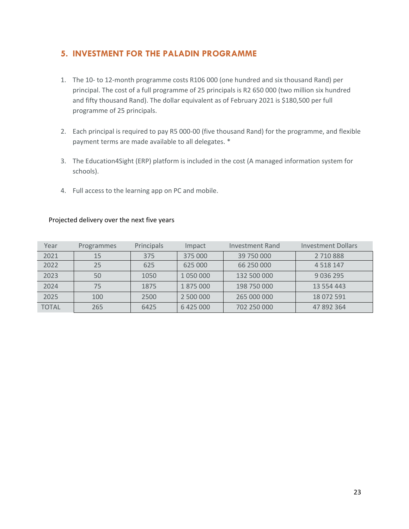### **5. INVESTMENT FOR THE PALADIN PROGRAMME**

- 1. The 10- to 12-month programme costs R106 000 (one hundred and six thousand Rand) per principal. The cost of a full programme of 25 principals is R2 650 000 (two million six hundred and fifty thousand Rand). The dollar equivalent as of February 2021 is \$180,500 per full programme of 25 principals.
- 2. Each principal is required to pay R5 000-00 (five thousand Rand) for the programme, and flexible payment terms are made available to all delegates. \*
- 3. The Education4Sight (ERP) platform is included in the cost (A managed information system for schools).
- 4. Full access to the learning app on PC and mobile.

| Year         | Programmes | Principals | Impact    | Investment Rand | <b>Investment Dollars</b> |
|--------------|------------|------------|-----------|-----------------|---------------------------|
| 2021         | 15         | 375        | 375 000   | 39 750 000      | 2 710 888                 |
| 2022         | 25         | 625        | 625 000   | 66 250 000      | 4 5 1 8 1 4 7             |
| 2023         | 50         | 1050       | 1 050 000 | 132 500 000     | 9 0 3 6 2 9 5             |
| 2024         | 75         | 1875       | 1875000   | 198 750 000     | 13 554 443                |
| 2025         | 100        | 2500       | 2 500 000 | 265 000 000     | 18 072 591                |
| <b>TOTAL</b> | 265        | 6425       | 6425000   | 702 250 000     | 47 892 364                |

#### Projected delivery over the next five years